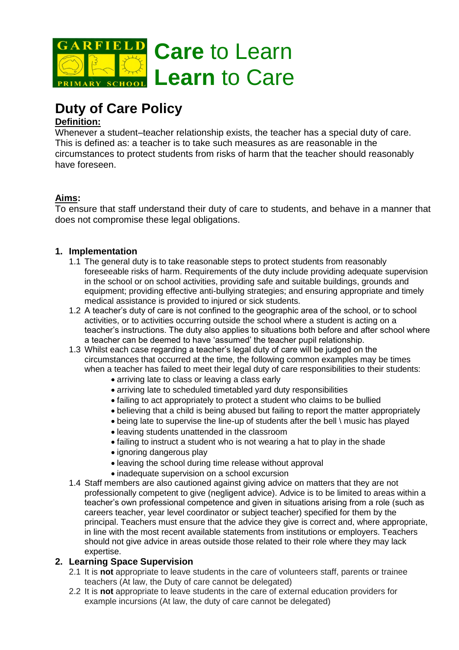

# **Duty of Care Policy**

## **Definition:**

Whenever a student–teacher relationship exists, the teacher has a special duty of care. This is defined as: a teacher is to take such measures as are reasonable in the circumstances to protect students from risks of harm that the teacher should reasonably have foreseen.

# **Aims:**

To ensure that staff understand their duty of care to students, and behave in a manner that does not compromise these legal obligations.

## **1. Implementation**

- 1.1 The general duty is to take reasonable steps to protect students from reasonably foreseeable risks of harm. Requirements of the duty include providing adequate supervision in the school or on school activities, providing safe and suitable buildings, grounds and equipment; providing effective anti-bullying strategies; and ensuring appropriate and timely medical assistance is provided to injured or sick students.
- 1.2 A teacher's duty of care is not confined to the geographic area of the school, or to school activities, or to activities occurring outside the school where a student is acting on a teacher's instructions. The duty also applies to situations both before and after school where a teacher can be deemed to have 'assumed' the teacher pupil relationship.
- 1.3 Whilst each case regarding a teacher's legal duty of care will be judged on the circumstances that occurred at the time, the following common examples may be times when a teacher has failed to meet their legal duty of care responsibilities to their students:
	- arriving late to class or leaving a class early
	- arriving late to scheduled timetabled yard duty responsibilities
	- failing to act appropriately to protect a student who claims to be bullied
	- believing that a child is being abused but failing to report the matter appropriately
	- being late to supervise the line-up of students after the bell \ music has played
	- leaving students unattended in the classroom
	- failing to instruct a student who is not wearing a hat to play in the shade
	- ignoring dangerous play
	- leaving the school during time release without approval
	- inadequate supervision on a school excursion
- 1.4 Staff members are also cautioned against giving advice on matters that they are not professionally competent to give (negligent advice). Advice is to be limited to areas within a teacher's own professional competence and given in situations arising from a role (such as careers teacher, year level coordinator or subject teacher) specified for them by the principal. Teachers must ensure that the advice they give is correct and, where appropriate, in line with the most recent available statements from institutions or employers. Teachers should not give advice in areas outside those related to their role where they may lack expertise.

## **2. Learning Space Supervision**

- 2.1 It is **not** appropriate to leave students in the care of volunteers staff, parents or trainee teachers (At law, the Duty of care cannot be delegated)
- 2.2 It is **not** appropriate to leave students in the care of external education providers for example incursions (At law, the duty of care cannot be delegated)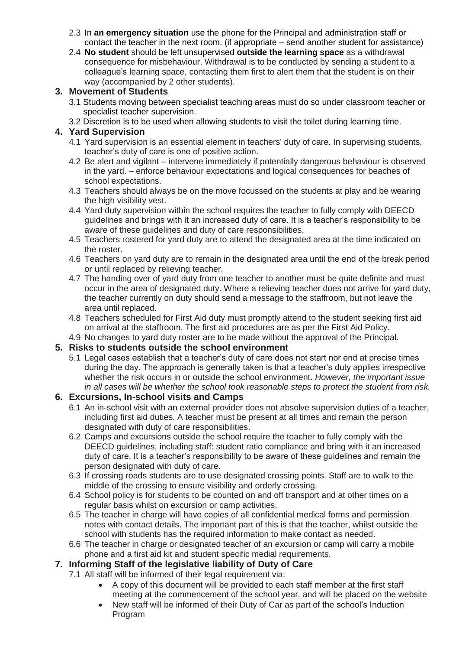- 2.3 In **an emergency situation** use the phone for the Principal and administration staff or contact the teacher in the next room. (if appropriate – send another student for assistance)
- 2.4 **No student** should be left unsupervised **outside the learning space** as a withdrawal consequence for misbehaviour. Withdrawal is to be conducted by sending a student to a colleague's learning space, contacting them first to alert them that the student is on their way (accompanied by 2 other students).

## **3. Movement of Students**

- 3.1 Students moving between specialist teaching areas must do so under classroom teacher or specialist teacher supervision.
- 3.2 Discretion is to be used when allowing students to visit the toilet during learning time.

## **4. Yard Supervision**

- 4.1 Yard supervision is an essential element in teachers' duty of care. In supervising students, teacher's duty of care is one of positive action.
- 4.2 Be alert and vigilant intervene immediately if potentially dangerous behaviour is observed in the yard. – enforce behaviour expectations and logical consequences for beaches of school expectations.
- 4.3 Teachers should always be on the move focussed on the students at play and be wearing the high visibility vest.
- 4.4 Yard duty supervision within the school requires the teacher to fully comply with DEECD guidelines and brings with it an increased duty of care. It is a teacher's responsibility to be aware of these guidelines and duty of care responsibilities.
- 4.5 Teachers rostered for yard duty are to attend the designated area at the time indicated on the roster.
- 4.6 Teachers on yard duty are to remain in the designated area until the end of the break period or until replaced by relieving teacher.
- 4.7 The handing over of yard duty from one teacher to another must be quite definite and must occur in the area of designated duty. Where a relieving teacher does not arrive for yard duty, the teacher currently on duty should send a message to the staffroom, but not leave the area until replaced.
- 4.8 Teachers scheduled for First Aid duty must promptly attend to the student seeking first aid on arrival at the staffroom. The first aid procedures are as per the First Aid Policy.
- 4.9 No changes to yard duty roster are to be made without the approval of the Principal.

## **5. Risks to students outside the school environment**

5.1 Legal cases establish that a teacher's duty of care does not start nor end at precise times during the day. The approach is generally taken is that a teacher's duty applies irrespective whether the risk occurs in or outside the school environment. *However, the important issue in all cases will be whether the school took reasonable steps to protect the student from risk.*

# **6. Excursions, In-school visits and Camps**

- 6.1 An in-school visit with an external provider does not absolve supervision duties of a teacher, including first aid duties. A teacher must be present at all times and remain the person designated with duty of care responsibilities.
- 6.2 Camps and excursions outside the school require the teacher to fully comply with the DEECD guidelines, including staff: student ratio compliance and bring with it an increased duty of care. It is a teacher's responsibility to be aware of these guidelines and remain the person designated with duty of care.
- 6.3 If crossing roads students are to use designated crossing points. Staff are to walk to the middle of the crossing to ensure visibility and orderly crossing.
- 6.4 School policy is for students to be counted on and off transport and at other times on a regular basis whilst on excursion or camp activities.
- 6.5 The teacher in charge will have copies of all confidential medical forms and permission notes with contact details. The important part of this is that the teacher, whilst outside the school with students has the required information to make contact as needed.
- 6.6 The teacher in charge or designated teacher of an excursion or camp will carry a mobile phone and a first aid kit and student specific medial requirements.

# **7. Informing Staff of the legislative liability of Duty of Care**

- 7.1 All staff will be informed of their legal requirement via:
	- A copy of this document will be provided to each staff member at the first staff meeting at the commencement of the school year, and will be placed on the website
	- New staff will be informed of their Duty of Car as part of the school's Induction Program